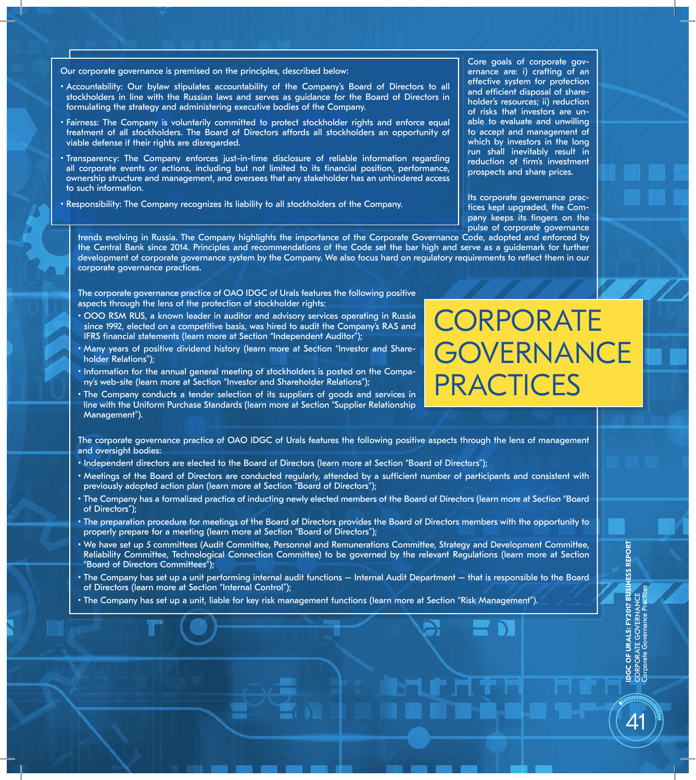Our corporate governance is premised on the principles, described below:

- Accountability: Our bylaw stipulates accountability of the Company's Board of Directors to all stockholders in line with the Russian laws and serves as guidance for the Board of Directors in formulating the strategy and administering executive bodies of the Company.
- Fairness: The Company is voluntarily committed to protect stockholder rights and enforce equal treatment of all stockholders. The Board of Directors affords all stockholders an opportunity of viable defense if their rights are disregarded.
- Transparency: The Company enforces just-in-time disclosure of reliable information regarding all corporate events or actions, including but not limited to its financial position, performance, ownership structure and management, and oversees that any stakeholder has an unhindered access to such information.
- Responsibility: The Company recognizes its liability to all stockholders of the Company.

Core goals of corporate governance are: i) crafting of an effective system for protection and efficient disposal of shareholder's resources; ii) reduction of risks that investors are unable to evaluate and unwilling to accept and management of which by investors in the long run shall inevitably result in reduction of firm's investment prospects and share prices.

Its corporate governance practices kept upgraded, the Company keeps its fingers on the pulse of corporate governance

trends evolving in Russia. The Company highlights the importance of the Corporate Governance Code, adopted and enforced by the Central Bank since 2014. Principles and recommendations of the Code set the bar high and serve as a guidemark for further development of corporate governance system by the Company. We also focus hard on regulatory requirements to reflect them in our corporate governance practices.

The corporate governance practice of OAO IDGC of Urals features the following positive aspects through the lens of the protection of stockholder rights:

- OOO RSM RUS, a known leader in auditor and advisory services operating in Russia since 1992, elected on a competitive basis, was hired to audit the Company's RAS and IFRS financial statements (learn more at Section "Independent Auditor");
- Many years of positive dividend history (learn more at Section "Investor and Shareholder Relations");
- Information for the annual general meeting of stockholders is posted on the Company's web-site (learn more at Section "Investor and Shareholder Relations");
- The Company conducts a tender selection of its suppliers of goods and services in line with the Uniform Purchase Standards (learn more at Section "Supplier Relationship Management").

The corporate governance practice of OAO IDGC of Urals features the following positive aspects through the lens of management and oversight bodies:

- Independent directors are elected to the Board of Directors (learn more at Section "Board of Directors");
- Meetings of the Board of Directors are conducted regularly, attended by a sufficient number of participants and consistent with previously adopted action plan (learn more at Section "Board of Directors");
- The Company has a formalized practice of inducting newly elected members of the Board of Directors (learn more at Section "Board of Directors");
- The preparation procedure for meetings of the Board of Directors provides the Board of Directors members with the opportunity to properly prepare for a meeting (learn more at Section "Board of Directors");
- We have set up 5 committees (Audit Committee, Personnel and Remunerations Committee, Strategy and Development Committee, Reliability Committee, Technological Connection Committee) to be governed by the relevant Regulations (learn more at Section "Board of Directors Committees");
- The Company has set up a unit performing internal audit functions Internal Audit Department that is responsible to the Board of Directors (learn more at Section "Internal Control");
- The Company has set up a unit, liable for key risk management functions (learn more at Section "Risk Management").

**CORPORATE GOVERNANCE PRACTICES** 

 $\varDelta$